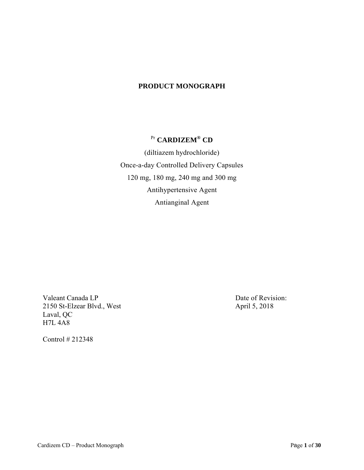### **PRODUCT MONOGRAPH**

# Pr **CARDIZEM® CD**

 (diltiazem hydrochloride) Once-a-day Controlled Delivery Capsules 120 mg, 180 mg, 240 mg and 300 mg Antihypertensive Agent Antianginal Agent

Valeant Canada LP<br>
Date of Revision: 2150 St-Elzear Blvd., West April 5, 2018 Laval, QC H7L 4A8

Control # 212348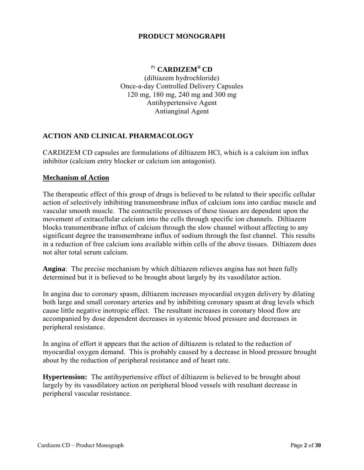## **PRODUCT MONOGRAPH**

# Pr **CARDIZEM® CD**

(diltiazem hydrochloride) Once-a-day Controlled Delivery Capsules 120 mg, 180 mg, 240 mg and 300 mg Antihypertensive Agent Antianginal Agent

# **ACTION AND CLINICAL PHARMACOLOGY**

CARDIZEM CD capsules are formulations of diltiazem HCl, which is a calcium ion influx inhibitor (calcium entry blocker or calcium ion antagonist).

#### **Mechanism of Action**

The therapeutic effect of this group of drugs is believed to be related to their specific cellular action of selectively inhibiting transmembrane influx of calcium ions into cardiac muscle and vascular smooth muscle. The contractile processes of these tissues are dependent upon the movement of extracellular calcium into the cells through specific ion channels. Diltiazem blocks transmembrane influx of calcium through the slow channel without affecting to any significant degree the transmembrane influx of sodium through the fast channel. This results in a reduction of free calcium ions available within cells of the above tissues. Diltiazem does not alter total serum calcium.

**Angina**: The precise mechanism by which diltiazem relieves angina has not been fully determined but it is believed to be brought about largely by its vasodilator action.

In angina due to coronary spasm, diltiazem increases myocardial oxygen delivery by dilating both large and small coronary arteries and by inhibiting coronary spasm at drug levels which cause little negative inotropic effect. The resultant increases in coronary blood flow are accompanied by dose dependent decreases in systemic blood pressure and decreases in peripheral resistance.

In angina of effort it appears that the action of diltiazem is related to the reduction of myocardial oxygen demand. This is probably caused by a decrease in blood pressure brought about by the reduction of peripheral resistance and of heart rate.

**Hypertension:** The antihypertensive effect of diltiazem is believed to be brought about largely by its vasodilatory action on peripheral blood vessels with resultant decrease in peripheral vascular resistance.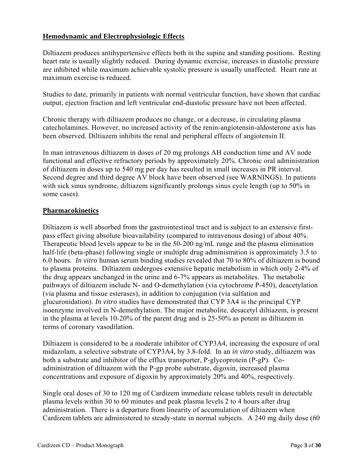## **Hemodynamic and Electrophysiologic Effects**

Diltiazem produces antihypertensive effects both in the supine and standing positions. Resting heart rate is usually slightly reduced. During dynamic exercise, increases in diastolic pressure are inhibited while maximum achievable systolic pressure is usually unaffected. Heart rate at maximum exercise is reduced.

Studies to date, primarily in patients with normal ventricular function, have shown that cardiac output, ejection fraction and left ventricular end-diastolic pressure have not been affected.

Chronic therapy with diltiazem produces no change, or a decrease, in circulating plasma catecholamines. However, no increased activity of the renin-angiotensin-aldosterone axis has been observed. Diltiazem inhibits the renal and peripheral effects of angiotensin II.

In man intravenous diltiazem in doses of 20 mg prolongs AH conduction time and AV node functional and effective refractory periods by approximately 20%. Chronic oral administration of diltiazem in doses up to 540 mg per day has resulted in small increases in PR interval. Second degree and third degree AV block have been observed (see WARNINGS). In patients with sick sinus syndrome, diltiazem significantly prolongs sinus cycle length (up to 50% in some cases).

#### **Pharmacokinetics**

Diltiazem is well absorbed from the gastrointestinal tract and is subject to an extensive firstpass effect giving absolute bioavailability (compared to intravenous dosing) of about 40%. Therapeutic blood levels appear to be in the 50-200 ng/mL range and the plasma elimination half-life (beta-phase) following single or multiple drug administration is approximately 3.5 to 6.0 hours. *In vitro* human serum binding studies revealed that 70 to 80% of diltiazem is bound to plasma proteins. Diltiazem undergoes extensive hepatic metabolism in which only 2-4% of the drug appears unchanged in the urine and 6-7% appears as metabolites. The metabolic pathways of diltiazem include N- and O-demethylation (via cytochrome P-450), deacetylation (via plasma and tissue esterases), in addition to conjugation (via sulfation and glucuronidation). *In vitro* studies have demonstrated that CYP 3A4 is the principal CYP isoenzyme involved in N-demethylation. The major metabolite, desacetyl diltiazem, is present in the plasma at levels 10-20% of the parent drug and is 25-50% as potent as diltiazem in terms of coronary vasodilation.

Diltiazem is considered to be a moderate inhibitor of CYP3A4, increasing the exposure of oral midazolam, a selective substrate of CYP3A4, by 3.8-fold. In an *in vitro* study, diltiazem was both a substrate and inhibitor of the efflux transporter, P-glycoprotein (P-gP). Coadministration of diltiazem with the P-gp probe substrate, digoxin, increased plasma concentrations and exposure of digoxin by approximately 20% and 40%, respectively.

Single oral doses of 30 to 120 mg of Cardizem immediate release tablets result in detectable plasma levels within 30 to 60 minutes and peak plasma levels 2 to 4 hours after drug administration. There is a departure from linearity of accumulation of diltiazem when Cardizem tablets are administered to steady-state in normal subjects. A 240 mg daily dose (60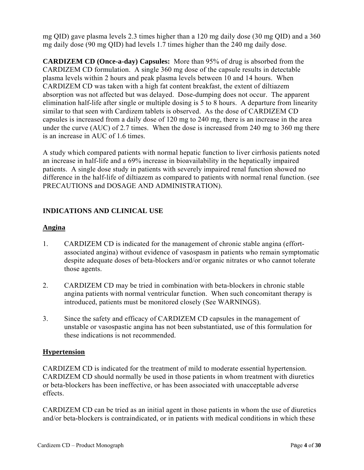mg QID) gave plasma levels 2.3 times higher than a 120 mg daily dose (30 mg QID) and a 360 mg daily dose (90 mg QID) had levels 1.7 times higher than the 240 mg daily dose.

**CARDIZEM CD (Once-a-day) Capsules:** More than 95% of drug is absorbed from the CARDIZEM CD formulation. A single 360 mg dose of the capsule results in detectable plasma levels within 2 hours and peak plasma levels between 10 and 14 hours. When CARDIZEM CD was taken with a high fat content breakfast, the extent of diltiazem absorption was not affected but was delayed. Dose-dumping does not occur. The apparent elimination half-life after single or multiple dosing is 5 to 8 hours. A departure from linearity similar to that seen with Cardizem tablets is observed. As the dose of CARDIZEM CD capsules is increased from a daily dose of 120 mg to 240 mg, there is an increase in the area under the curve (AUC) of 2.7 times. When the dose is increased from 240 mg to 360 mg there is an increase in AUC of 1.6 times.

A study which compared patients with normal hepatic function to liver cirrhosis patients noted an increase in half-life and a 69% increase in bioavailability in the hepatically impaired patients. A single dose study in patients with severely impaired renal function showed no difference in the half-life of diltiazem as compared to patients with normal renal function. (see PRECAUTIONS and DOSAGE AND ADMINISTRATION).

# **INDICATIONS AND CLINICAL USE**

#### **Angina**

- 1. CARDIZEM CD is indicated for the management of chronic stable angina (effortassociated angina) without evidence of vasospasm in patients who remain symptomatic despite adequate doses of beta-blockers and/or organic nitrates or who cannot tolerate those agents.
- 2. CARDIZEM CD may be tried in combination with beta-blockers in chronic stable angina patients with normal ventricular function. When such concomitant therapy is introduced, patients must be monitored closely (See WARNINGS).
- 3. Since the safety and efficacy of CARDIZEM CD capsules in the management of unstable or vasospastic angina has not been substantiated, use of this formulation for these indications is not recommended.

#### **Hypertension**

CARDIZEM CD is indicated for the treatment of mild to moderate essential hypertension. CARDIZEM CD should normally be used in those patients in whom treatment with diuretics or beta-blockers has been ineffective, or has been associated with unacceptable adverse effects.

CARDIZEM CD can be tried as an initial agent in those patients in whom the use of diuretics and/or beta-blockers is contraindicated, or in patients with medical conditions in which these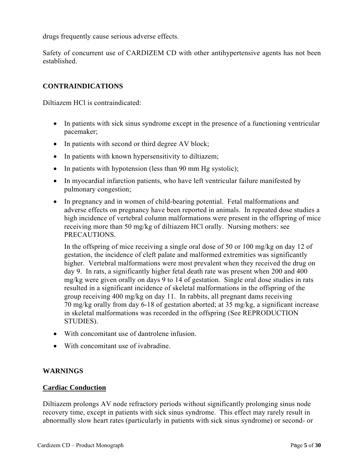drugs frequently cause serious adverse effects.

Safety of concurrent use of CARDIZEM CD with other antihypertensive agents has not been established.

### **CONTRAINDICATIONS**

Diltiazem HCl is contraindicated:

- In patients with sick sinus syndrome except in the presence of a functioning ventricular pacemaker;
- In patients with second or third degree AV block;
- In patients with known hypersensitivity to diltiazem;
- $\bullet$  In patients with hypotension (less than 90 mm Hg systolic);
- In myocardial infarction patients, who have left ventricular failure manifested by pulmonary congestion;
- In pregnancy and in women of child-bearing potential. Fetal malformations and adverse effects on pregnancy have been reported in animals. In repeated dose studies a high incidence of vertebral column malformations were present in the offspring of mice receiving more than 50 mg/kg of diltiazem HCl orally. Nursing mothers: see PRECAUTIONS.

In the offspring of mice receiving a single oral dose of 50 or 100 mg/kg on day 12 of gestation, the incidence of cleft palate and malformed extremities was significantly higher. Vertebral malformations were most prevalent when they received the drug on day 9. In rats, a significantly higher fetal death rate was present when 200 and 400 mg/kg were given orally on days 9 to 14 of gestation. Single oral dose studies in rats resulted in a significant incidence of skeletal malformations in the offspring of the group receiving 400 mg/kg on day 11. In rabbits, all pregnant dams receiving 70 mg/kg orally from day 6-18 of gestation aborted; at 35 mg/kg, a significant increase in skeletal malformations was recorded in the offspring (See REPRODUCTION STUDIES).

- With concomitant use of dantrolene infusion.
- With concomitant use of ivabradine.

#### **WARNINGS**

#### **Cardiac Conduction**

Diltiazem prolongs AV node refractory periods without significantly prolonging sinus node recovery time, except in patients with sick sinus syndrome. This effect may rarely result in abnormally slow heart rates (particularly in patients with sick sinus syndrome) or second- or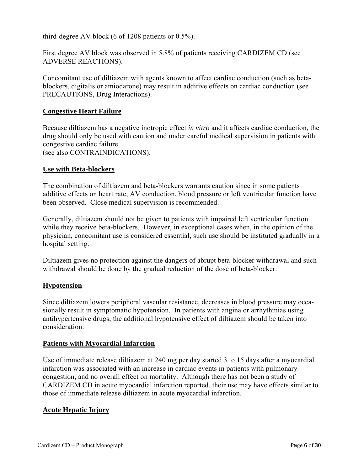third-degree AV block (6 of 1208 patients or 0.5%).

First degree AV block was observed in 5.8% of patients receiving CARDIZEM CD (see ADVERSE REACTIONS).

Concomitant use of diltiazem with agents known to affect cardiac conduction (such as betablockers, digitalis or amiodarone) may result in additive effects on cardiac conduction (see PRECAUTIONS, Drug Interactions).

#### **Congestive Heart Failure**

Because diltiazem has a negative inotropic effect *in vitro* and it affects cardiac conduction, the drug should only be used with caution and under careful medical supervision in patients with congestive cardiac failure.

(see also CONTRAINDICATIONS).

#### **Use with Beta-blockers**

The combination of diltiazem and beta-blockers warrants caution since in some patients additive effects on heart rate, AV conduction, blood pressure or left ventricular function have been observed. Close medical supervision is recommended.

Generally, diltiazem should not be given to patients with impaired left ventricular function while they receive beta-blockers. However, in exceptional cases when, in the opinion of the physician, concomitant use is considered essential, such use should be instituted gradually in a hospital setting.

Diltiazem gives no protection against the dangers of abrupt beta-blocker withdrawal and such withdrawal should be done by the gradual reduction of the dose of beta-blocker.

#### **Hypotension**

Since diltiazem lowers peripheral vascular resistance, decreases in blood pressure may occasionally result in symptomatic hypotension. In patients with angina or arrhythmias using antihypertensive drugs, the additional hypotensive effect of diltiazem should be taken into consideration.

#### **Patients with Myocardial Infarction**

Use of immediate release diltiazem at 240 mg per day started 3 to 15 days after a myocardial infarction was associated with an increase in cardiac events in patients with pulmonary congestion, and no overall effect on mortality. Although there has not been a study of CARDIZEM CD in acute myocardial infarction reported, their use may have effects similar to those of immediate release diltiazem in acute myocardial infarction.

#### **Acute Hepatic Injury**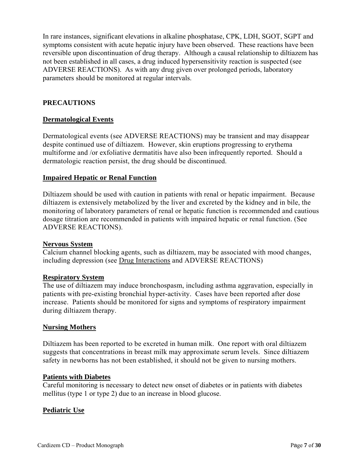In rare instances, significant elevations in alkaline phosphatase, CPK, LDH, SGOT, SGPT and symptoms consistent with acute hepatic injury have been observed. These reactions have been reversible upon discontinuation of drug therapy. Although a causal relationship to diltiazem has not been established in all cases, a drug induced hypersensitivity reaction is suspected (see ADVERSE REACTIONS). As with any drug given over prolonged periods, laboratory parameters should be monitored at regular intervals.

## **PRECAUTIONS**

#### **Dermatological Events**

Dermatological events (see ADVERSE REACTIONS) may be transient and may disappear despite continued use of diltiazem. However, skin eruptions progressing to erythema multiforme and /or exfoliative dermatitis have also been infrequently reported. Should a dermatologic reaction persist, the drug should be discontinued.

#### **Impaired Hepatic or Renal Function**

Diltiazem should be used with caution in patients with renal or hepatic impairment. Because diltiazem is extensively metabolized by the liver and excreted by the kidney and in bile, the monitoring of laboratory parameters of renal or hepatic function is recommended and cautious dosage titration are recommended in patients with impaired hepatic or renal function. (See ADVERSE REACTIONS).

#### **Nervous System**

Calcium channel blocking agents, such as diltiazem, may be associated with mood changes, including depression (see Drug Interactions and ADVERSE REACTIONS)

#### **Respiratory System**

The use of diltiazem may induce bronchospasm, including asthma aggravation, especially in patients with pre-existing bronchial hyper-activity. Cases have been reported after dose increase. Patients should be monitored for signs and symptoms of respiratory impairment during diltiazem therapy.

#### **Nursing Mothers**

Diltiazem has been reported to be excreted in human milk. One report with oral diltiazem suggests that concentrations in breast milk may approximate serum levels. Since diltiazem safety in newborns has not been established, it should not be given to nursing mothers.

#### **Patients with Diabetes**

Careful monitoring is necessary to detect new onset of diabetes or in patients with diabetes mellitus (type 1 or type 2) due to an increase in blood glucose.

#### **Pediatric Use**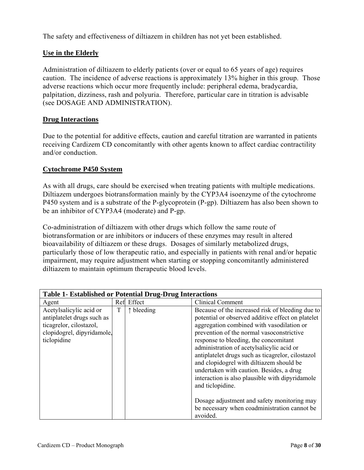The safety and effectiveness of diltiazem in children has not yet been established.

#### **Use in the Elderly**

Administration of diltiazem to elderly patients (over or equal to 65 years of age) requires caution. The incidence of adverse reactions is approximately 13% higher in this group. Those adverse reactions which occur more frequently include: peripheral edema, bradycardia, palpitation, dizziness, rash and polyuria. Therefore, particular care in titration is advisable (see DOSAGE AND ADMINISTRATION).

#### **Drug Interactions**

Due to the potential for additive effects, caution and careful titration are warranted in patients receiving Cardizem CD concomitantly with other agents known to affect cardiac contractility and/or conduction.

#### **Cytochrome P450 System**

As with all drugs, care should be exercised when treating patients with multiple medications. Diltiazem undergoes biotransformation mainly by the CYP3A4 isoenzyme of the cytochrome P450 system and is a substrate of the P-glycoprotein (P-gp). Diltiazem has also been shown to be an inhibitor of CYP3A4 (moderate) and P-gp.

Co-administration of diltiazem with other drugs which follow the same route of biotransformation or are inhibitors or inducers of these enzymes may result in altered bioavailability of diltiazem or these drugs. Dosages of similarly metabolized drugs, particularly those of low therapeutic ratio, and especially in patients with renal and/or hepatic impairment, may require adjustment when starting or stopping concomitantly administered diltiazem to maintain optimum therapeutic blood levels.

| <b>Table 1- Established or Potential Drug-Drug Interactions</b>                                                               |     |                     |                                                                                                                                                                                                                                                                                                                                                                                                                                                                                                           |
|-------------------------------------------------------------------------------------------------------------------------------|-----|---------------------|-----------------------------------------------------------------------------------------------------------------------------------------------------------------------------------------------------------------------------------------------------------------------------------------------------------------------------------------------------------------------------------------------------------------------------------------------------------------------------------------------------------|
| Agent                                                                                                                         | Ref | Effect              | <b>Clinical Comment</b>                                                                                                                                                                                                                                                                                                                                                                                                                                                                                   |
| Acetylsalicylic acid or<br>antiplatelet drugs such as<br>ticagrelor, cilostazol,<br>clopidogrel, dipyridamole,<br>ticlopidine | T   | $\uparrow$ bleeding | Because of the increased risk of bleeding due to<br>potential or observed additive effect on platelet<br>aggregation combined with vasodilation or<br>prevention of the normal vasoconstrictive<br>response to bleeding, the concomitant<br>administration of acetylsalicylic acid or<br>antiplatelet drugs such as ticagrelor, cilostazol<br>and clopidogrel with diltiazem should be<br>undertaken with caution. Besides, a drug<br>interaction is also plausible with dipyridamole<br>and ticlopidine. |
|                                                                                                                               |     |                     | Dosage adjustment and safety monitoring may<br>be necessary when coadministration cannot be<br>avoided.                                                                                                                                                                                                                                                                                                                                                                                                   |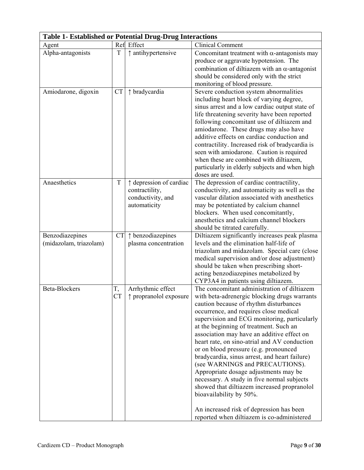| <b>Table 1- Established or Potential Drug-Drug Interactions</b> |                 |                                                                                |                                                                                                                                                                                                                                                                                                                                                                                                                                                                                                                                                                                                                                                                                                                                                                 |  |
|-----------------------------------------------------------------|-----------------|--------------------------------------------------------------------------------|-----------------------------------------------------------------------------------------------------------------------------------------------------------------------------------------------------------------------------------------------------------------------------------------------------------------------------------------------------------------------------------------------------------------------------------------------------------------------------------------------------------------------------------------------------------------------------------------------------------------------------------------------------------------------------------------------------------------------------------------------------------------|--|
| Agent                                                           |                 | Ref Effect                                                                     | <b>Clinical Comment</b>                                                                                                                                                                                                                                                                                                                                                                                                                                                                                                                                                                                                                                                                                                                                         |  |
| Alpha-antagonists                                               | T               | ↑ antihypertensive                                                             | Concomitant treatment with $\alpha$ -antagonists may<br>produce or aggravate hypotension. The<br>combination of diltiazem with an $\alpha$ -antagonist<br>should be considered only with the strict<br>monitoring of blood pressure.                                                                                                                                                                                                                                                                                                                                                                                                                                                                                                                            |  |
| Amiodarone, digoxin                                             | <b>CT</b>       | ↑ bradycardia                                                                  | Severe conduction system abnormalities<br>including heart block of varying degree,<br>sinus arrest and a low cardiac output state of<br>life threatening severity have been reported<br>following concomitant use of diltiazem and<br>amiodarone. These drugs may also have<br>additive effects on cardiac conduction and<br>contractility. Increased risk of bradycardia is<br>seen with amiodarone. Caution is required<br>when these are combined with diltiazem,<br>particularly in elderly subjects and when high<br>doses are used.                                                                                                                                                                                                                       |  |
| Anaesthetics                                                    | T               | ↑ depression of cardiac<br>contractility,<br>conductivity, and<br>automaticity | The depression of cardiac contractility,<br>conductivity, and automaticity as well as the<br>vascular dilation associated with anesthetics<br>may be potentiated by calcium channel<br>blockers. When used concomitantly,<br>anesthetics and calcium channel blockers<br>should be titrated carefully.                                                                                                                                                                                                                                                                                                                                                                                                                                                          |  |
| Benzodiazepines<br>(midazolam, triazolam)                       | <b>CT</b>       | ↑ benzodiazepines<br>plasma concentration                                      | Diltiazem significantly increases peak plasma<br>levels and the elimination half-life of<br>triazolam and midazolam. Special care (close<br>medical supervision and/or dose adjustment)<br>should be taken when prescribing short-<br>acting benzodiazepines metabolized by<br>CYP3A4 in patients using diltiazem.                                                                                                                                                                                                                                                                                                                                                                                                                                              |  |
| <b>Beta-Blockers</b>                                            | T,<br><b>CT</b> | Arrhythmic effect<br>↑ propranolol exposure                                    | The concomitant administration of diltiazem<br>with beta-adrenergic blocking drugs warrants<br>caution because of rhythm disturbances<br>occurrence, and requires close medical<br>supervision and ECG monitoring, particularly<br>at the beginning of treatment. Such an<br>association may have an additive effect on<br>heart rate, on sino-atrial and AV conduction<br>or on blood pressure (e.g. pronounced<br>bradycardia, sinus arrest, and heart failure)<br>(see WARNINGS and PRECAUTIONS).<br>Appropriate dosage adjustments may be<br>necessary. A study in five normal subjects<br>showed that diltiazem increased propranolol<br>bioavailability by 50%.<br>An increased risk of depression has been<br>reported when diltiazem is co-administered |  |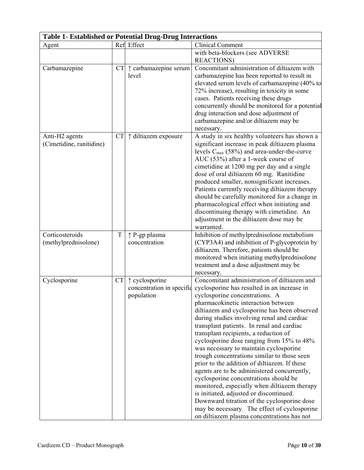| <b>Table 1- Established or Potential Drug-Drug Interactions</b> |           |                                                           |                                                                                                                                                                                                                                                                                                                                                                                                                                                                                                                                                                                                                                                                                                                                                                                                                                                                               |  |
|-----------------------------------------------------------------|-----------|-----------------------------------------------------------|-------------------------------------------------------------------------------------------------------------------------------------------------------------------------------------------------------------------------------------------------------------------------------------------------------------------------------------------------------------------------------------------------------------------------------------------------------------------------------------------------------------------------------------------------------------------------------------------------------------------------------------------------------------------------------------------------------------------------------------------------------------------------------------------------------------------------------------------------------------------------------|--|
| Agent                                                           |           | Ref Effect                                                | <b>Clinical Comment</b>                                                                                                                                                                                                                                                                                                                                                                                                                                                                                                                                                                                                                                                                                                                                                                                                                                                       |  |
|                                                                 |           |                                                           | with beta-blockers (see ADVERSE<br><b>REACTIONS</b> )                                                                                                                                                                                                                                                                                                                                                                                                                                                                                                                                                                                                                                                                                                                                                                                                                         |  |
| Carbamazepine                                                   | <b>CT</b> | ↑ carbamazepine serum<br>level                            | Concomitant administration of diltiazem with<br>carbamazepine has been reported to result in<br>elevated serum levels of carbamazepine (40% to<br>72% increase), resulting in toxicity in some<br>cases. Patients receiving these drugs<br>concurrently should be monitored for a potential<br>drug interaction and dose adjustment of<br>carbamazepine and/or diltiazem may be<br>necessary.                                                                                                                                                                                                                                                                                                                                                                                                                                                                                 |  |
| Anti-H <sub>2</sub> agents<br>(Cimetidine, ranitidine)          | <b>CT</b> | ↑ diltiazem exposure                                      | A study in six healthy volunteers has shown a<br>significant increase in peak diltiazem plasma<br>levels $C_{\text{max}}$ (58%) and area-under-the-curve<br>AUC (53%) after a 1-week course of<br>cimetidine at 1200 mg per day and a single<br>dose of oral diltiazem 60 mg. Ranitidine<br>produced smaller, nonsignificant increases.<br>Patients currently receiving diltiazem therapy<br>should be carefully monitored for a change in<br>pharmacological effect when initiating and<br>discontinuing therapy with cimetidine. An<br>adjustment in the diltiazem dose may be<br>warranted.                                                                                                                                                                                                                                                                                |  |
| Corticosteroids<br>(methylprednisolone)                         | T         | ↑ P-gp plasma<br>concentration                            | Inhibition of methylprednisolone metabolism<br>(CYP3A4) and inhibition of P-glycoprotein by<br>diltiazem. Therefore, patients should be<br>monitored when initiating methylprednisolone<br>treatment and a dose adjustment may be<br>necessary.                                                                                                                                                                                                                                                                                                                                                                                                                                                                                                                                                                                                                               |  |
| Cyclosporine                                                    | <b>CT</b> | ↑ cyclosporine<br>concentration in specific<br>population | Concomitant administration of diltiazem and<br>cyclosporine has resulted in an increase in<br>cyclosporine concentrations. A<br>pharmacokinetic interaction between<br>diltiazem and cyclosporine has been observed<br>during studies involving renal and cardiac<br>transplant patients. In renal and cardiac<br>transplant recipients, a reduction of<br>cyclosporine dose ranging from 15% to 48%<br>was necessary to maintain cyclosporine<br>trough concentrations similar to those seen<br>prior to the addition of diltiazem. If these<br>agents are to be administered concurrently,<br>cyclosporine concentrations should be<br>monitored, especially when diltiazem therapy<br>is initiated, adjusted or discontinued.<br>Downward titration of the cyclosporine dose<br>may be necessary. The effect of cyclosporine<br>on diltiazem plasma concentrations has not |  |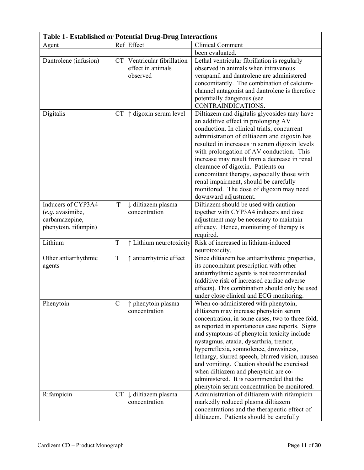|                                                                                    | <b>Table 1- Established or Potential Drug-Drug Interactions</b> |                                                           |                                                                                                                                                                                                                                                                                                                                                                                                                                                                                                                                                            |  |  |
|------------------------------------------------------------------------------------|-----------------------------------------------------------------|-----------------------------------------------------------|------------------------------------------------------------------------------------------------------------------------------------------------------------------------------------------------------------------------------------------------------------------------------------------------------------------------------------------------------------------------------------------------------------------------------------------------------------------------------------------------------------------------------------------------------------|--|--|
| Agent                                                                              |                                                                 | Ref Effect                                                | <b>Clinical Comment</b>                                                                                                                                                                                                                                                                                                                                                                                                                                                                                                                                    |  |  |
|                                                                                    |                                                                 |                                                           | been evaluated.                                                                                                                                                                                                                                                                                                                                                                                                                                                                                                                                            |  |  |
| Dantrolene (infusion)                                                              | <b>CT</b>                                                       | Ventricular fibrillation<br>effect in animals<br>observed | Lethal ventricular fibrillation is regularly<br>observed in animals when intravenous<br>verapamil and dantrolene are administered<br>concomitantly. The combination of calcium-<br>channel antagonist and dantrolene is therefore<br>potentially dangerous (see<br>CONTRAINDICATIONS.                                                                                                                                                                                                                                                                      |  |  |
| Digitalis                                                                          | <b>CT</b>                                                       | ↑ digoxin serum level                                     | Diltiazem and digitalis glycosides may have<br>an additive effect in prolonging AV<br>conduction. In clinical trials, concurrent<br>administration of diltiazem and digoxin has<br>resulted in increases in serum digoxin levels<br>with prolongation of AV conduction. This<br>increase may result from a decrease in renal<br>clearance of digoxin. Patients on<br>concomitant therapy, especially those with<br>renal impairment, should be carefully<br>monitored. The dose of digoxin may need<br>downward adjustment.                                |  |  |
| Inducers of CYP3A4<br>$(e.g.$ avasimibe,<br>carbamazepine,<br>phenytoin, rifampin) | T                                                               | ↓ diltiazem plasma<br>concentration                       | Diltiazem should be used with caution<br>together with CYP3A4 inducers and dose<br>adjustment may be necessary to maintain<br>efficacy. Hence, monitoring of therapy is<br>required.                                                                                                                                                                                                                                                                                                                                                                       |  |  |
| Lithium                                                                            | T                                                               | ↑ Lithium neurotoxicity                                   | Risk of increased in lithium-induced<br>neurotoxicity.                                                                                                                                                                                                                                                                                                                                                                                                                                                                                                     |  |  |
| Other antiarrhythmic<br>agents                                                     | T                                                               | ↑ antiarrhytmic effect                                    | Since diltiazem has antiarrhythmic properties,<br>its concomitant prescription with other<br>antiarrhythmic agents is not recommended<br>(additive risk of increased cardiac adverse<br>effects). This combination should only be used<br>under close clinical and ECG monitoring.                                                                                                                                                                                                                                                                         |  |  |
| Phenytoin                                                                          | $\mathcal{C}$                                                   | ↑ phenytoin plasma<br>concentration                       | When co-administered with phenytoin,<br>diltiazem may increase phenytoin serum<br>concentration, in some cases, two to three fold,<br>as reported in spontaneous case reports. Signs<br>and symptoms of phenytoin toxicity include<br>nystagmus, ataxia, dysarthria, tremor,<br>hyperreflexia, somnolence, drowsiness,<br>lethargy, slurred speech, blurred vision, nausea<br>and vomiting. Caution should be exercised<br>when diltiazem and phenytoin are co-<br>administered. It is recommended that the<br>phenytoin serum concentration be monitored. |  |  |
| Rifampicin                                                                         | <b>CT</b>                                                       | ↓ diltiazem plasma<br>concentration                       | Administration of diltiazem with rifampicin<br>markedly reduced plasma diltiazem<br>concentrations and the therapeutic effect of<br>diltiazem. Patients should be carefully                                                                                                                                                                                                                                                                                                                                                                                |  |  |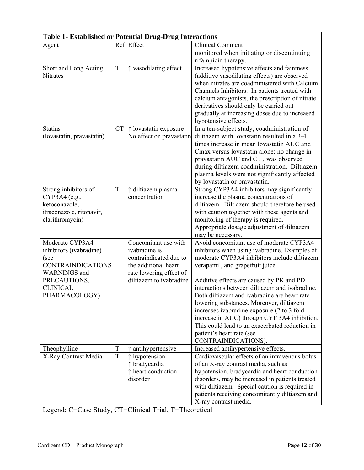|                                                                                                                                                           | <b>Table 1- Established or Potential Drug-Drug Interactions</b> |                                                                                                                                               |                                                                                                                                                                                                                                                                                                                                                                                                                                                                                                                                                                              |  |  |
|-----------------------------------------------------------------------------------------------------------------------------------------------------------|-----------------------------------------------------------------|-----------------------------------------------------------------------------------------------------------------------------------------------|------------------------------------------------------------------------------------------------------------------------------------------------------------------------------------------------------------------------------------------------------------------------------------------------------------------------------------------------------------------------------------------------------------------------------------------------------------------------------------------------------------------------------------------------------------------------------|--|--|
| Agent                                                                                                                                                     |                                                                 | Ref Effect                                                                                                                                    | <b>Clinical Comment</b>                                                                                                                                                                                                                                                                                                                                                                                                                                                                                                                                                      |  |  |
|                                                                                                                                                           |                                                                 |                                                                                                                                               | monitored when initiating or discontinuing<br>rifampicin therapy.                                                                                                                                                                                                                                                                                                                                                                                                                                                                                                            |  |  |
| Short and Long Acting<br><b>Nitrates</b>                                                                                                                  | T                                                               | ↑ vasodilating effect                                                                                                                         | Increased hypotensive effects and faintness<br>(additive vasodilating effects) are observed<br>when nitrates are coadministered with Calcium<br>Channels Inhibitors. In patients treated with<br>calcium antagonists, the prescription of nitrate<br>derivatives should only be carried out<br>gradually at increasing doses due to increased<br>hypotensive effects.                                                                                                                                                                                                        |  |  |
| <b>Statins</b><br>(lovastatin, pravastatin)                                                                                                               | <b>CT</b>                                                       | $\uparrow$ lovastatin exposure<br>No effect on pravastatin                                                                                    | In a ten-subject study, coadministration of<br>diltiazem with lovastatin resulted in a 3-4<br>times increase in mean lovastatin AUC and<br>Cmax versus lovastatin alone; no change in<br>pravastatin AUC and C <sub>max</sub> was observed<br>during diltiazem coadministration. Diltiazem<br>plasma levels were not significantly affected<br>by lovastatin or pravastatin.                                                                                                                                                                                                 |  |  |
| Strong inhibitors of<br>CYP3A4 (e.g.,<br>ketoconazole,<br>itraconazole, ritonavir,<br>clarithromycin)                                                     | T                                                               | ↑ diltiazem plasma<br>concentration                                                                                                           | Strong CYP3A4 inhibitors may significantly<br>increase the plasma concentrations of<br>diltiazem. Diltiazem should therefore be used<br>with caution together with these agents and<br>monitoring of therapy is required.<br>Appropriate dosage adjustment of diltiazem<br>may be necessary.                                                                                                                                                                                                                                                                                 |  |  |
| Moderate CYP3A4<br>inhibitors (ivabradine)<br>(see<br><b>CONTRAINDICATIONS</b><br><b>WARNINGS</b> and<br>PRECAUTIONS,<br><b>CLINICAL</b><br>PHARMACOLOGY) |                                                                 | Concomitant use with<br>ivabradine is<br>contraindicated due to<br>the additional heart<br>rate lowering effect of<br>diltiazem to ivabradine | Avoid concomitant use of moderate CYP3A4<br>inhibitors when using ivabradine. Examples of<br>moderate CYP3A4 inhibitors include diltiazem,<br>verapamil, and grapefruit juice.<br>Additive effects are caused by PK and PD<br>interactions between diltiazem and ivabradine.<br>Both diltiazem and ivabradine are heart rate<br>lowering substances. Moreover, diltiazem<br>increases ivabradine exposure (2 to 3 fold<br>increase in AUC) through CYP 3A4 inhibition.<br>This could lead to an exacerbated reduction in<br>patient's heart rate (see<br>CONTRAINDICATIONS). |  |  |
| Theophylline<br>X-Ray Contrast Media                                                                                                                      | $\mathbf T$<br>$\rm T$                                          | antihypertensive<br>↑ hypotension<br>↑ bradycardia<br>↑ heart conduction<br>disorder                                                          | Increased antihypertensive effects.<br>Cardiovascular effects of an intravenous bolus<br>of an X-ray contrast media, such as<br>hypotension, bradycardia and heart conduction<br>disorders, may be increased in patients treated<br>with diltiazem. Special caution is required in<br>patients receiving concomitantly diltiazem and<br>X-ray contrast media.                                                                                                                                                                                                                |  |  |

Legend: C=Case Study, CT=Clinical Trial, T=Theoretical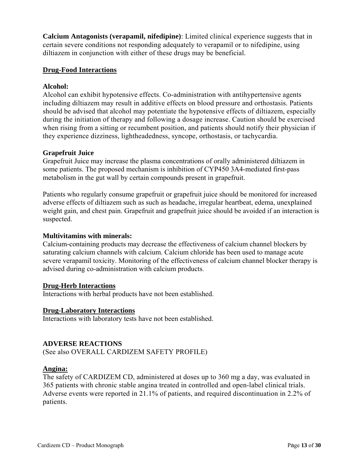**Calcium Antagonists (verapamil, nifedipine)**: Limited clinical experience suggests that in certain severe conditions not responding adequately to verapamil or to nifedipine, using diltiazem in conjunction with either of these drugs may be beneficial.

### **Drug-Food Interactions**

#### **Alcohol:**

Alcohol can exhibit hypotensive effects. Co-administration with antihypertensive agents including diltiazem may result in additive effects on blood pressure and orthostasis. Patients should be advised that alcohol may potentiate the hypotensive effects of diltiazem, especially during the initiation of therapy and following a dosage increase. Caution should be exercised when rising from a sitting or recumbent position, and patients should notify their physician if they experience dizziness, lightheadedness, syncope, orthostasis, or tachycardia.

#### **Grapefruit Juice**

Grapefruit Juice may increase the plasma concentrations of orally administered diltiazem in some patients. The proposed mechanism is inhibition of CYP450 3A4-mediated first-pass metabolism in the gut wall by certain compounds present in grapefruit.

Patients who regularly consume grapefruit or grapefruit juice should be monitored for increased adverse effects of diltiazem such as such as headache, irregular heartbeat, edema, unexplained weight gain, and chest pain. Grapefruit and grapefruit juice should be avoided if an interaction is suspected.

#### **Multivitamins with minerals:**

Calcium-containing products may decrease the effectiveness of calcium channel blockers by saturating calcium channels with calcium. Calcium chloride has been used to manage acute severe verapamil toxicity. Monitoring of the effectiveness of calcium channel blocker therapy is advised during co-administration with calcium products.

#### **Drug-Herb Interactions**

Interactions with herbal products have not been established.

#### **Drug-Laboratory Interactions**

Interactions with laboratory tests have not been established.

#### **ADVERSE REACTIONS**

(See also OVERALL CARDIZEM SAFETY PROFILE)

#### **Angina:**

The safety of CARDIZEM CD, administered at doses up to 360 mg a day, was evaluated in 365 patients with chronic stable angina treated in controlled and open-label clinical trials. Adverse events were reported in 21.1% of patients, and required discontinuation in 2.2% of patients.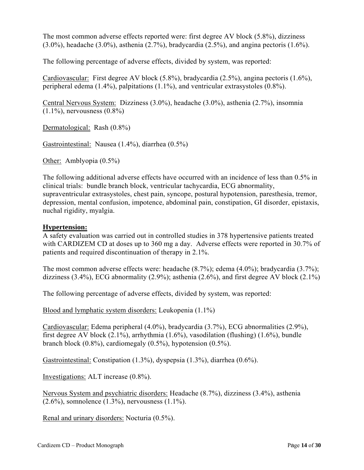The most common adverse effects reported were: first degree AV block (5.8%), dizziness (3.0%), headache (3.0%), asthenia (2.7%), bradycardia (2.5%), and angina pectoris (1.6%).

The following percentage of adverse effects, divided by system, was reported:

Cardiovascular: First degree AV block (5.8%), bradycardia (2.5%), angina pectoris (1.6%), peripheral edema (1.4%), palpitations (1.1%), and ventricular extrasystoles (0.8%).

Central Nervous System: Dizziness (3.0%), headache (3.0%), asthenia (2.7%), insomnia  $(1.1\%)$ , nervousness  $(0.8\%)$ 

Dermatological: Rash (0.8%)

Gastrointestinal: Nausea (1.4%), diarrhea (0.5%)

Other: Amblyopia (0.5%)

The following additional adverse effects have occurred with an incidence of less than 0.5% in clinical trials: bundle branch block, ventricular tachycardia, ECG abnormality, supraventricular extrasystoles, chest pain, syncope, postural hypotension, paresthesia, tremor, depression, mental confusion, impotence, abdominal pain, constipation, GI disorder, epistaxis, nuchal rigidity, myalgia.

#### **Hypertension:**

A safety evaluation was carried out in controlled studies in 378 hypertensive patients treated with CARDIZEM CD at doses up to 360 mg a day. Adverse effects were reported in 30.7% of patients and required discontinuation of therapy in 2.1%.

The most common adverse effects were: headache (8.7%); edema (4.0%); bradycardia (3.7%); dizziness  $(3.4\%)$ , ECG abnormality  $(2.9\%)$ ; asthenia  $(2.6\%)$ , and first degree AV block  $(2.1\%)$ 

The following percentage of adverse effects, divided by system, was reported:

Blood and lymphatic system disorders: Leukopenia (1.1%)

Cardiovascular: Edema peripheral (4.0%), bradycardia (3.7%), ECG abnormalities (2.9%), first degree AV block (2.1%), arrhythmia (1.6%), vasodilation (flushing) (1.6%), bundle branch block (0.8%), cardiomegaly (0.5%), hypotension (0.5%).

Gastrointestinal: Constipation (1.3%), dyspepsia (1.3%), diarrhea (0.6%).

Investigations: ALT increase (0.8%).

Nervous System and psychiatric disorders: Headache (8.7%), dizziness (3.4%), asthenia  $(2.6\%)$ , somnolence  $(1.3\%)$ , nervousness  $(1.1\%)$ .

Renal and urinary disorders: Nocturia (0.5%).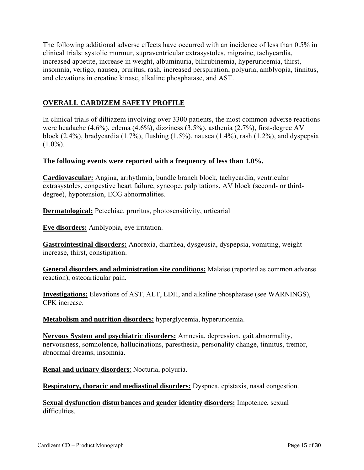The following additional adverse effects have occurred with an incidence of less than 0.5% in clinical trials: systolic murmur, supraventricular extrasystoles, migraine, tachycardia, increased appetite, increase in weight, albuminuria, bilirubinemia, hyperuricemia, thirst, insomnia, vertigo, nausea, pruritus, rash, increased perspiration, polyuria, amblyopia, tinnitus, and elevations in creatine kinase, alkaline phosphatase, and AST.

# **OVERALL CARDIZEM SAFETY PROFILE**

In clinical trials of diltiazem involving over 3300 patients, the most common adverse reactions were headache (4.6%), edema (4.6%), dizziness (3.5%), asthenia (2.7%), first-degree AV block (2.4%), bradycardia (1.7%), flushing (1.5%), nausea (1.4%), rash (1.2%), and dyspepsia  $(1.0\%)$ .

#### **The following events were reported with a frequency of less than 1.0%.**

**Cardiovascular:** Angina, arrhythmia, bundle branch block, tachycardia, ventricular extrasystoles, congestive heart failure, syncope, palpitations, AV block (second- or thirddegree), hypotension, ECG abnormalities.

**Dermatological:** Petechiae, pruritus, photosensitivity, urticarial

**Eye disorders:** Amblyopia, eye irritation.

**Gastrointestinal disorders:** Anorexia, diarrhea, dysgeusia, dyspepsia, vomiting, weight increase, thirst, constipation.

**General disorders and administration site conditions:** Malaise (reported as common adverse reaction), osteoarticular pain.

**Investigations:** Elevations of AST, ALT, LDH, and alkaline phosphatase (see WARNINGS), CPK increase.

**Metabolism and nutrition disorders:** hyperglycemia, hyperuricemia.

**Nervous System and psychiatric disorders:** Amnesia, depression, gait abnormality, nervousness, somnolence, hallucinations, paresthesia, personality change, tinnitus, tremor, abnormal dreams, insomnia.

**Renal and urinary disorders**: Nocturia, polyuria.

**Respiratory, thoracic and mediastinal disorders:** Dyspnea, epistaxis, nasal congestion.

**Sexual dysfunction disturbances and gender identity disorders:** Impotence, sexual difficulties.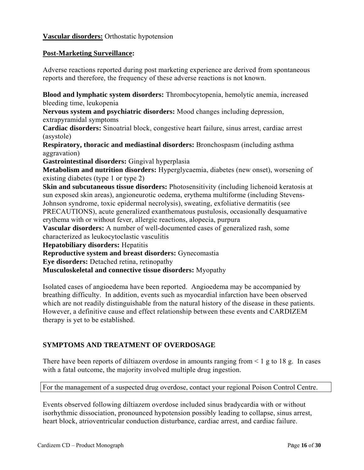## **Vascular disorders:** Orthostatic hypotension

#### **Post-Marketing Surveillance:**

Adverse reactions reported during post marketing experience are derived from spontaneous reports and therefore, the frequency of these adverse reactions is not known.

**Blood and lymphatic system disorders:** Thrombocytopenia, hemolytic anemia, increased bleeding time, leukopenia

**Nervous system and psychiatric disorders:** Mood changes including depression, extrapyramidal symptoms

**Cardiac disorders:** Sinoatrial block, congestive heart failure, sinus arrest, cardiac arrest (asystole)

**Respiratory, thoracic and mediastinal disorders:** Bronchospasm (including asthma aggravation)

**Gastrointestinal disorders:** Gingival hyperplasia

**Metabolism and nutrition disorders:** Hyperglycaemia, diabetes (new onset), worsening of existing diabetes (type 1 or type 2)

**Skin and subcutaneous tissue disorders:** Photosensitivity (including lichenoid keratosis at sun exposed skin areas), angioneurotic oedema, erythema multiforme (including Stevens-Johnson syndrome, toxic epidermal necrolysis), sweating, exfoliative dermatitis (see PRECAUTIONS), acute generalized exanthematous pustulosis, occasionally desquamative erythema with or without fever, allergic reactions, alopecia, purpura

**Vascular disorders:** A number of well-documented cases of generalized rash, some characterized as leukocytoclastic vasculitis

**Hepatobiliary disorders:** Hepatitis

**Reproductive system and breast disorders:** Gynecomastia

**Eye disorders:** Detached retina, retinopathy

**Musculoskeletal and connective tissue disorders:** Myopathy

Isolated cases of angioedema have been reported. Angioedema may be accompanied by breathing difficulty. In addition, events such as myocardial infarction have been observed which are not readily distinguishable from the natural history of the disease in these patients. However, a definitive cause and effect relationship between these events and CARDIZEM therapy is yet to be established.

## **SYMPTOMS AND TREATMENT OF OVERDOSAGE**

There have been reports of diltiazem overdose in amounts ranging from  $\leq 1$  g to 18 g. In cases with a fatal outcome, the majority involved multiple drug ingestion.

For the management of a suspected drug overdose, contact your regional Poison Control Centre.

Events observed following diltiazem overdose included sinus bradycardia with or without isorhythmic dissociation, pronounced hypotension possibly leading to collapse, sinus arrest, heart block, atrioventricular conduction disturbance, cardiac arrest, and cardiac failure.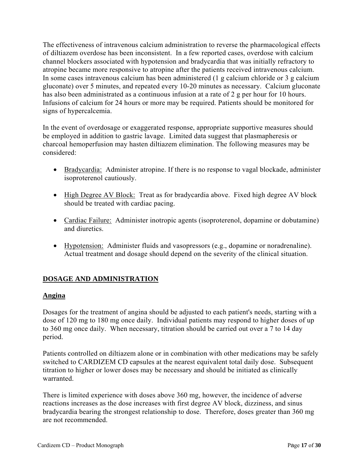The effectiveness of intravenous calcium administration to reverse the pharmacological effects of diltiazem overdose has been inconsistent. In a few reported cases, overdose with calcium channel blockers associated with hypotension and bradycardia that was initially refractory to atropine became more responsive to atropine after the patients received intravenous calcium. In some cases intravenous calcium has been administered (1 g calcium chloride or 3 g calcium gluconate) over 5 minutes, and repeated every 10-20 minutes as necessary. Calcium gluconate has also been administrated as a continuous infusion at a rate of 2 g per hour for 10 hours. Infusions of calcium for 24 hours or more may be required. Patients should be monitored for signs of hypercalcemia.

In the event of overdosage or exaggerated response, appropriate supportive measures should be employed in addition to gastric lavage. Limited data suggest that plasmapheresis or charcoal hemoperfusion may hasten diltiazem elimination. The following measures may be considered:

- Bradycardia: Administer atropine. If there is no response to vagal blockade, administer isoproterenol cautiously.
- High Degree AV Block: Treat as for bradycardia above. Fixed high degree AV block should be treated with cardiac pacing.
- Cardiac Failure: Administer inotropic agents (isoproterenol, dopamine or dobutamine) and diuretics.
- Hypotension: Administer fluids and vasopressors (e.g., dopamine or noradrenaline). Actual treatment and dosage should depend on the severity of the clinical situation.

# **DOSAGE AND ADMINISTRATION**

## **Angina**

Dosages for the treatment of angina should be adjusted to each patient's needs, starting with a dose of 120 mg to 180 mg once daily. Individual patients may respond to higher doses of up to 360 mg once daily. When necessary, titration should be carried out over a 7 to 14 day period.

Patients controlled on diltiazem alone or in combination with other medications may be safely switched to CARDIZEM CD capsules at the nearest equivalent total daily dose. Subsequent titration to higher or lower doses may be necessary and should be initiated as clinically warranted.

There is limited experience with doses above 360 mg, however, the incidence of adverse reactions increases as the dose increases with first degree AV block, dizziness, and sinus bradycardia bearing the strongest relationship to dose. Therefore, doses greater than 360 mg are not recommended.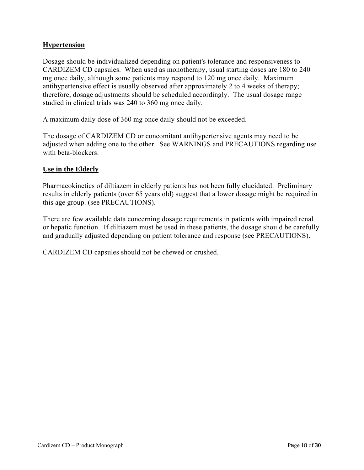## **Hypertension**

Dosage should be individualized depending on patient's tolerance and responsiveness to CARDIZEM CD capsules. When used as monotherapy, usual starting doses are 180 to 240 mg once daily, although some patients may respond to 120 mg once daily. Maximum antihypertensive effect is usually observed after approximately 2 to 4 weeks of therapy; therefore, dosage adjustments should be scheduled accordingly. The usual dosage range studied in clinical trials was 240 to 360 mg once daily.

A maximum daily dose of 360 mg once daily should not be exceeded.

The dosage of CARDIZEM CD or concomitant antihypertensive agents may need to be adjusted when adding one to the other. See WARNINGS and PRECAUTIONS regarding use with beta-blockers.

#### **Use in the Elderly**

Pharmacokinetics of diltiazem in elderly patients has not been fully elucidated. Preliminary results in elderly patients (over 65 years old) suggest that a lower dosage might be required in this age group. (see PRECAUTIONS).

There are few available data concerning dosage requirements in patients with impaired renal or hepatic function. If diltiazem must be used in these patients, the dosage should be carefully and gradually adjusted depending on patient tolerance and response (see PRECAUTIONS).

CARDIZEM CD capsules should not be chewed or crushed.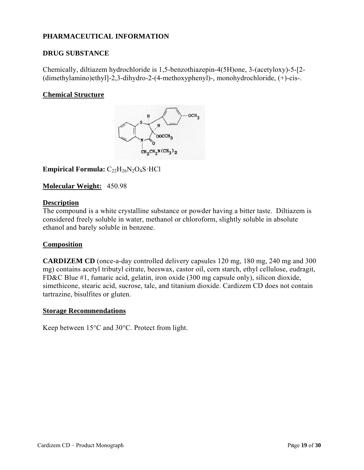# **PHARMACEUTICAL INFORMATION**

### **DRUG SUBSTANCE**

Chemically, diltiazem hydrochloride is 1,5-benzothiazepin-4(5H)one, 3-(acetyloxy)-5-[2- (dimethylamino)ethyl]-2,3-dihydro-2-(4-methoxyphenyl)-, monohydrochloride, (+)-cis-.

#### **Chemical Structure**



**Empirical Formula:**  $C_{22}H_{26}N_2O_4S \cdot HCl$ 

#### **Molecular Weight:** 450.98

#### **Description**

The compound is a white crystalline substance or powder having a bitter taste. Diltiazem is considered freely soluble in water, methanol or chloroform, slightly soluble in absolute ethanol and barely soluble in benzene.

#### **Composition**

**CARDIZEM CD** (once-a-day controlled delivery capsules 120 mg, 180 mg, 240 mg and 300 mg) contains acetyl tributyl citrate, beeswax, castor oil, corn starch, ethyl cellulose, eudragit, FD&C Blue #1, fumaric acid, gelatin, iron oxide (300 mg capsule only), silicon dioxide, simethicone, stearic acid, sucrose, talc, and titanium dioxide. Cardizem CD does not contain tartrazine, bisulfites or gluten.

#### **Storage Recommendations**

Keep between 15°C and 30°C. Protect from light.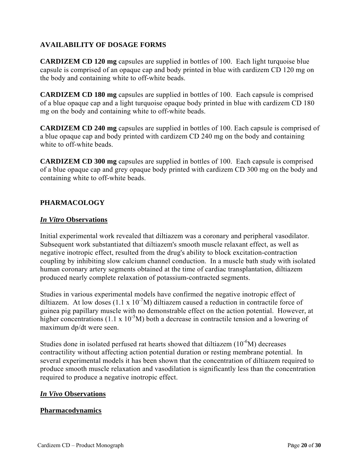## **AVAILABILITY OF DOSAGE FORMS**

**CARDIZEM CD 120 mg** capsules are supplied in bottles of 100. Each light turquoise blue capsule is comprised of an opaque cap and body printed in blue with cardizem CD 120 mg on the body and containing white to off-white beads.

**CARDIZEM CD 180 mg** capsules are supplied in bottles of 100. Each capsule is comprised of a blue opaque cap and a light turquoise opaque body printed in blue with cardizem CD 180 mg on the body and containing white to off-white beads.

**CARDIZEM CD 240 mg** capsules are supplied in bottles of 100. Each capsule is comprised of a blue opaque cap and body printed with cardizem CD 240 mg on the body and containing white to off-white beads.

**CARDIZEM CD 300 mg** capsules are supplied in bottles of 100. Each capsule is comprised of a blue opaque cap and grey opaque body printed with cardizem CD 300 mg on the body and containing white to off-white beads.

## **PHARMACOLOGY**

#### *In Vitro* **Observations**

Initial experimental work revealed that diltiazem was a coronary and peripheral vasodilator. Subsequent work substantiated that diltiazem's smooth muscle relaxant effect, as well as negative inotropic effect, resulted from the drug's ability to block excitation-contraction coupling by inhibiting slow calcium channel conduction. In a muscle bath study with isolated human coronary artery segments obtained at the time of cardiac transplantation, diltiazem produced nearly complete relaxation of potassium-contracted segments.

Studies in various experimental models have confirmed the negative inotropic effect of diltiazem. At low doses  $(1.1 \times 10^{-7}M)$  diltiazem caused a reduction in contractile force of guinea pig papillary muscle with no demonstrable effect on the action potential. However, at higher concentrations (1.1 x  $10^{-5}$ M) both a decrease in contractile tension and a lowering of maximum dp/dt were seen.

Studies done in isolated perfused rat hearts showed that diltiazem  $(10^{-6}M)$  decreases contractility without affecting action potential duration or resting membrane potential. In several experimental models it has been shown that the concentration of diltiazem required to produce smooth muscle relaxation and vasodilation is significantly less than the concentration required to produce a negative inotropic effect.

#### *In Vivo* **Observations**

#### **Pharmacodynamics**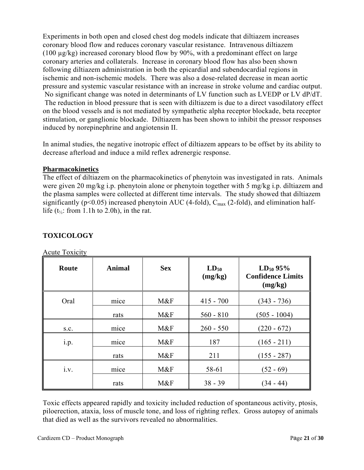Experiments in both open and closed chest dog models indicate that diltiazem increases coronary blood flow and reduces coronary vascular resistance. Intravenous diltiazem (100 µg/kg) increased coronary blood flow by 90%, with a predominant effect on large coronary arteries and collaterals. Increase in coronary blood flow has also been shown following diltiazem administration in both the epicardial and subendocardial regions in ischemic and non-ischemic models. There was also a dose-related decrease in mean aortic pressure and systemic vascular resistance with an increase in stroke volume and cardiac output. No significant change was noted in determinants of LV function such as LVEDP or LV dP/dT. The reduction in blood pressure that is seen with diltiazem is due to a direct vasodilatory effect on the blood vessels and is not mediated by sympathetic alpha receptor blockade, beta receptor stimulation, or ganglionic blockade. Diltiazem has been shown to inhibit the pressor responses induced by norepinephrine and angiotensin II.

In animal studies, the negative inotropic effect of diltiazem appears to be offset by its ability to decrease afterload and induce a mild reflex adrenergic response.

## **Pharmacokinetics**

The effect of diltiazem on the pharmacokinetics of phenytoin was investigated in rats. Animals were given 20 mg/kg i.p. phenytoin alone or phenytoin together with 5 mg/kg i.p. diltiazem and the plasma samples were collected at different time intervals. The study showed that diltiazem significantly ( $p<0.05$ ) increased phenytoin AUC (4-fold),  $C_{\text{max}}$  (2-fold), and elimination halflife ( $t_{\frac{1}{2}}$ : from 1.1h to 2.0h), in the rat.

| Route | <b>Animal</b> | <b>Sex</b> | $LD_{50}$<br>(mg/kg) | $LD_{50}$ 95%<br><b>Confidence Limits</b><br>(mg/kg) |
|-------|---------------|------------|----------------------|------------------------------------------------------|
| Oral  | mice          | M&F        | $415 - 700$          | $(343 - 736)$                                        |
|       | rats          | M&F        | $560 - 810$          | $(505 - 1004)$                                       |
| S.C.  | mice          | M&F        | $260 - 550$          | $(220 - 672)$                                        |
| i.p.  | mice          | M&F        | 187                  | $(165 - 211)$                                        |
|       | rats          | M&F        | 211                  | $(155 - 287)$                                        |
| i.v.  | mice          | M&F        | 58-61                | $(52 - 69)$                                          |
|       | rats          | M&F        | $38 - 39$            | $(34 - 44)$                                          |

# **TOXICOLOGY**

Acute Toxicity

Toxic effects appeared rapidly and toxicity included reduction of spontaneous activity, ptosis, piloerection, ataxia, loss of muscle tone, and loss of righting reflex. Gross autopsy of animals that died as well as the survivors revealed no abnormalities.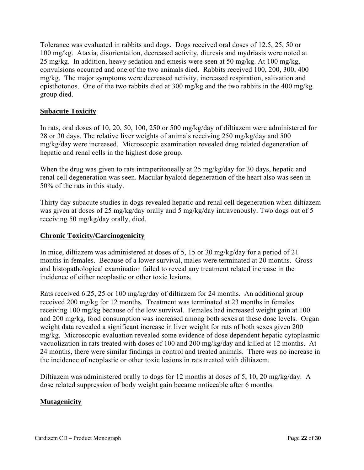Tolerance was evaluated in rabbits and dogs. Dogs received oral doses of 12.5, 25, 50 or 100 mg/kg. Ataxia, disorientation, decreased activity, diuresis and mydriasis were noted at 25 mg/kg. In addition, heavy sedation and emesis were seen at 50 mg/kg. At 100 mg/kg, convulsions occurred and one of the two animals died. Rabbits received 100, 200, 300, 400 mg/kg. The major symptoms were decreased activity, increased respiration, salivation and opisthotonos. One of the two rabbits died at 300 mg/kg and the two rabbits in the 400 mg/kg group died.

## **Subacute Toxicity**

In rats, oral doses of 10, 20, 50, 100, 250 or 500 mg/kg/day of diltiazem were administered for 28 or 30 days. The relative liver weights of animals receiving 250 mg/kg/day and 500 mg/kg/day were increased. Microscopic examination revealed drug related degeneration of hepatic and renal cells in the highest dose group.

When the drug was given to rats intraperitoneally at 25 mg/kg/day for 30 days, hepatic and renal cell degeneration was seen. Macular hyaloid degeneration of the heart also was seen in 50% of the rats in this study.

Thirty day subacute studies in dogs revealed hepatic and renal cell degeneration when diltiazem was given at doses of 25 mg/kg/day orally and 5 mg/kg/day intravenously. Two dogs out of 5 receiving 50 mg/kg/day orally, died.

### **Chronic Toxicity/Carcinogenicity**

In mice, diltiazem was administered at doses of 5, 15 or 30 mg/kg/day for a period of 21 months in females. Because of a lower survival, males were terminated at 20 months. Gross and histopathological examination failed to reveal any treatment related increase in the incidence of either neoplastic or other toxic lesions.

Rats received 6.25, 25 or 100 mg/kg/day of diltiazem for 24 months. An additional group received 200 mg/kg for 12 months. Treatment was terminated at 23 months in females receiving 100 mg/kg because of the low survival. Females had increased weight gain at 100 and 200 mg/kg, food consumption was increased among both sexes at these dose levels. Organ weight data revealed a significant increase in liver weight for rats of both sexes given 200 mg/kg. Microscopic evaluation revealed some evidence of dose dependent hepatic cytoplasmic vacuolization in rats treated with doses of 100 and 200 mg/kg/day and killed at 12 months. At 24 months, there were similar findings in control and treated animals. There was no increase in the incidence of neoplastic or other toxic lesions in rats treated with diltiazem.

Diltiazem was administered orally to dogs for 12 months at doses of 5, 10, 20 mg/kg/day. A dose related suppression of body weight gain became noticeable after 6 months.

#### **Mutagenicity**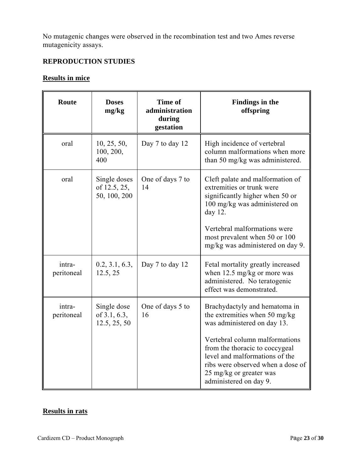No mutagenic changes were observed in the recombination test and two Ames reverse mutagenicity assays.

# **REPRODUCTION STUDIES**

## **Results in mice**

| Route                | <b>Doses</b><br>mg/kg                        | <b>Time of</b><br>administration<br>during<br>gestation                                                                                                                                                   | <b>Findings in the</b><br>offspring                                                                                                                                                          |  |
|----------------------|----------------------------------------------|-----------------------------------------------------------------------------------------------------------------------------------------------------------------------------------------------------------|----------------------------------------------------------------------------------------------------------------------------------------------------------------------------------------------|--|
| oral                 | 10, 25, 50,<br>100, 200,<br>400              | Day 7 to day 12                                                                                                                                                                                           | High incidence of vertebral<br>column malformations when more<br>than 50 mg/kg was administered.                                                                                             |  |
| oral                 | Single doses<br>of 12.5, 25,<br>50, 100, 200 | Cleft palate and malformation of<br>One of days 7 to<br>extremities or trunk were<br>14<br>significantly higher when 50 or<br>100 mg/kg was administered on<br>day $12$ .<br>Vertebral malformations were |                                                                                                                                                                                              |  |
|                      |                                              |                                                                                                                                                                                                           | most prevalent when 50 or 100<br>mg/kg was administered on day 9.                                                                                                                            |  |
| intra-<br>peritoneal | 0.2, 3.1, 6.3,<br>12.5, 25                   | Day 7 to day 12                                                                                                                                                                                           | Fetal mortality greatly increased<br>when 12.5 mg/kg or more was<br>administered. No teratogenic<br>effect was demonstrated.                                                                 |  |
| intra-<br>peritoneal | Single dose<br>of 3.1, 6.3,<br>12.5, 25, 50  | One of days 5 to<br>16                                                                                                                                                                                    | Brachydactyly and hematoma in<br>the extremities when 50 mg/kg<br>was administered on day 13.                                                                                                |  |
|                      |                                              |                                                                                                                                                                                                           | Vertebral column malformations<br>from the thoracic to coccygeal<br>level and malformations of the<br>ribs were observed when a dose of<br>25 mg/kg or greater was<br>administered on day 9. |  |

# **Results in rats**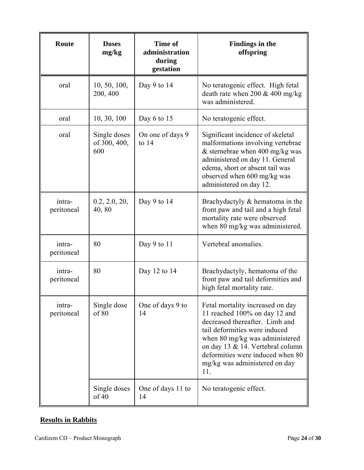| Route                | <b>Doses</b><br>mg/kg               | Time of<br>administration<br>during<br>gestation | Findings in the<br>offspring                                                                                                                                                                                                                                                           |  |
|----------------------|-------------------------------------|--------------------------------------------------|----------------------------------------------------------------------------------------------------------------------------------------------------------------------------------------------------------------------------------------------------------------------------------------|--|
| oral                 | 10, 50, 100,<br>200, 400            | Day 9 to $14$                                    | No teratogenic effect. High fetal<br>death rate when 200 & 400 mg/kg<br>was administered.                                                                                                                                                                                              |  |
| oral                 | 10, 30, 100                         | Day $6$ to 15                                    | No teratogenic effect.                                                                                                                                                                                                                                                                 |  |
| oral                 | Single doses<br>of 300, 400,<br>600 | On one of days 9<br>to $14$                      | Significant incidence of skeletal<br>malformations involving vertebrae<br>$&$ sternebrae when 400 mg/kg was<br>administered on day 11. General<br>edema, short or absent tail was<br>observed when 600 mg/kg was<br>administered on day 12.                                            |  |
| intra-<br>peritoneal | 0.2, 2.0, 20,<br>40,80              | Day 9 to $14$                                    | Brachydactyly $\&$ hematoma in the<br>front paw and tail and a high fetal<br>mortality rate were observed<br>when 80 mg/kg was administered.                                                                                                                                           |  |
| intra-<br>peritoneal | 80                                  | Day 9 to $11$                                    | Vertebral anomalies.                                                                                                                                                                                                                                                                   |  |
| intra-<br>peritoneal | 80                                  | Day 12 to 14                                     | Brachydactyly, hematoma of the<br>front paw and tail deformities and<br>high fetal mortality rate.                                                                                                                                                                                     |  |
| intra-<br>peritoneal | Single dose<br>of 80                | One of days 9 to<br>14                           | Fetal mortality increased on day<br>11 reached 100% on day 12 and<br>decreased thereafter. Limb and<br>tail deformities were induced<br>when 80 mg/kg was administered<br>on day 13 & 14. Vertebral column<br>deformities were induced when 80<br>mg/kg was administered on day<br>11. |  |
|                      | Single doses<br>of 40               | One of days 11 to<br>14                          | No teratogenic effect.                                                                                                                                                                                                                                                                 |  |

# **Results in Rabbits**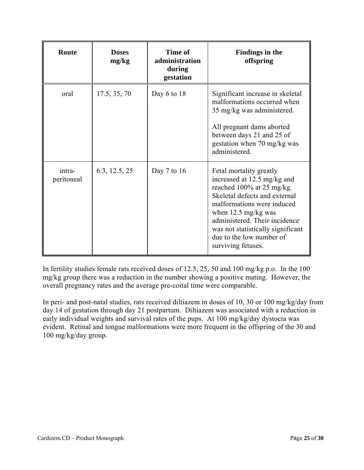| Route                | <b>Doses</b><br>mg/kg | Time of<br>administration<br>during<br>gestation | Findings in the<br>offspring                                                                                                                                                                                                                                                                                |
|----------------------|-----------------------|--------------------------------------------------|-------------------------------------------------------------------------------------------------------------------------------------------------------------------------------------------------------------------------------------------------------------------------------------------------------------|
| oral                 | 17.5, 35, 70          | Day 6 to 18                                      | Significant increase in skeletal<br>malformations occurred when<br>35 mg/kg was administered.<br>All pregnant dams aborted<br>between days 21 and 25 of<br>gestation when 70 mg/kg was<br>administered.                                                                                                     |
| intra-<br>peritoneal | 6.3, 12.5, 25         | Day $7$ to 16                                    | Fetal mortality greatly<br>increased at 12.5 mg/kg and<br>reached 100% at 25 mg/kg.<br>Skeletal defects and external<br>malformations were induced<br>when $12.5 \text{ mg/kg}$ was<br>administered. Their incidence<br>was not statistically significant<br>due to the low number of<br>surviving fetuses. |

In fertility studies female rats received doses of 12.5, 25, 50 and 100 mg/kg p.o. In the 100 mg/kg group there was a reduction in the number showing a positive mating. However, the overall pregnancy rates and the average pre-coital time were comparable.

In peri- and post-natal studies, rats received diltiazem in doses of 10, 30 or 100 mg/kg/day from day 14 of gestation through day 21 postpartum. Diltiazem was associated with a reduction in early individual weights and survival rates of the pups. At 100 mg/kg/day dystocia was evident. Retinal and tongue malformations were more frequent in the offspring of the 30 and 100 mg/kg/day group.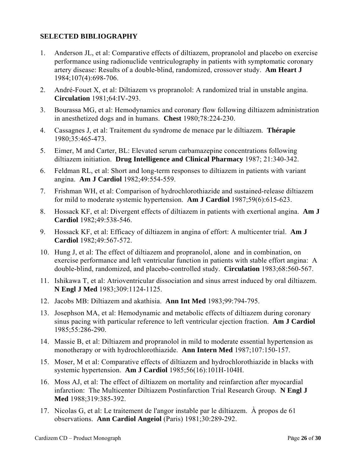## **SELECTED BIBLIOGRAPHY**

- 1. Anderson JL, et al: Comparative effects of diltiazem, propranolol and placebo on exercise performance using radionuclide ventriculography in patients with symptomatic coronary artery disease: Results of a double-blind, randomized, crossover study. **Am Heart J** 1984;107(4):698-706.
- 2. André-Fouet X, et al: Diltiazem vs propranolol: A randomized trial in unstable angina. **Circulation** 1981;64:IV-293.
- 3. Bourassa MG, et al: Hemodynamics and coronary flow following diltiazem administration in anesthetized dogs and in humans. **Chest** 1980;78:224-230.
- 4. Cassagnes J, et al: Traitement du syndrome de menace par le diltiazem. **Thérapie** 1980;35:465-473.
- 5. Eimer, M and Carter, BL: Elevated serum carbamazepine concentrations following diltiazem initiation. **Drug Intelligence and Clinical Pharmacy** 1987; 21:340-342.
- 6. Feldman RL, et al: Short and long-term responses to diltiazem in patients with variant angina. **Am J Cardiol** 1982;49:554-559.
- 7. Frishman WH, et al: Comparison of hydrochlorothiazide and sustained-release diltiazem for mild to moderate systemic hypertension. **Am J Cardiol** 1987;59(6):615-623.
- 8. Hossack KF, et al: Divergent effects of diltiazem in patients with exertional angina. **Am J Cardiol** 1982;49:538-546.
- 9. Hossack KF, et al: Efficacy of diltiazem in angina of effort: A multicenter trial. **Am J Cardiol** 1982;49:567-572.
- 10. Hung J, et al: The effect of diltiazem and propranolol, alone and in combination, on exercise performance and left ventricular function in patients with stable effort angina: A double-blind, randomized, and placebo-controlled study. **Circulation** 1983;68:560-567.
- 11. Ishikawa T, et al: Atrioventricular dissociation and sinus arrest induced by oral diltiazem. **N Engl J Med** 1983;309:1124-1125.
- 12. Jacobs MB: Diltiazem and akathisia. **Ann Int Med** 1983;99:794-795.
- 13. Josephson MA, et al: Hemodynamic and metabolic effects of diltiazem during coronary sinus pacing with particular reference to left ventricular ejection fraction. **Am J Cardiol** 1985;55:286-290.
- 14. Massie B, et al: Diltiazem and propranolol in mild to moderate essential hypertension as monotherapy or with hydrochlorothiazide. **Ann Intern Med** 1987;107:150-157.
- 15. Moser, M et al: Comparative effects of diltiazem and hydrochlorothiazide in blacks with systemic hypertension. **Am J Cardiol** 1985;56(16):101H-104H.
- 16. Moss AJ, et al: The effect of diltiazem on mortality and reinfarction after myocardial infarction: The Multicenter Diltiazem Postinfarction Trial Research Group. **N Engl J Med** 1988;319:385-392.
- 17. Nicolas G, et al: Le traitement de l'angor instable par le diltiazem. À propos de 61 observations. **Ann Cardiol Angeiol** (Paris) 1981;30:289-292.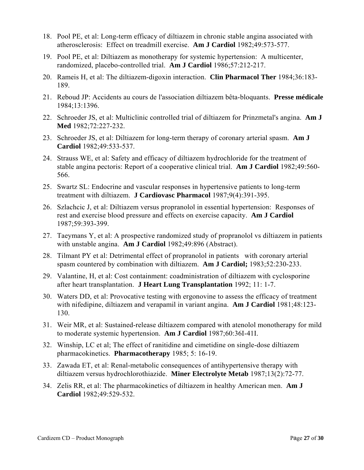- 18. Pool PE, et al: Long-term efficacy of diltiazem in chronic stable angina associated with atherosclerosis: Effect on treadmill exercise. **Am J Cardiol** 1982;49:573-577.
- 19. Pool PE, et al: Diltiazem as monotherapy for systemic hypertension: A multicenter, randomized, placebo-controlled trial. **Am J Cardiol** 1986;57:212-217.
- 20. Rameis H, et al: The diltiazem-digoxin interaction. **Clin Pharmacol Ther** 1984;36:183- 189.
- 21. Reboud JP: Accidents au cours de l'association diltiazem bêta-bloquants. **Presse médicale** 1984;13:1396.
- 22. Schroeder JS, et al: Multiclinic controlled trial of diltiazem for Prinzmetal's angina. **Am J Med** 1982;72:227-232.
- 23. Schroeder JS, et al: Diltiazem for long-term therapy of coronary arterial spasm. **Am J Cardiol** 1982;49:533-537.
- 24. Strauss WE, et al: Safety and efficacy of diltiazem hydrochloride for the treatment of stable angina pectoris: Report of a cooperative clinical trial. **Am J Cardiol** 1982;49:560- 566.
- 25. Swartz SL: Endocrine and vascular responses in hypertensive patients to long-term treatment with diltiazem. **J Cardiovasc Pharmacol** 1987;9(4):391-395.
- 26. Szlachcic J, et al: Diltiazem versus propranolol in essential hypertension: Responses of rest and exercise blood pressure and effects on exercise capacity. **Am J Cardiol** 1987;59:393-399.
- 27. Taeymans Y, et al: A prospective randomized study of propranolol vs diltiazem in patients with unstable angina. **Am J Cardiol** 1982;49:896 (Abstract).
- 28. Tilmant PY et al: Detrimental effect of propranolol in patients with coronary arterial spasm countered by combination with diltiazem. **Am J Cardiol;** 1983;52:230-233.
- 29. Valantine, H, et al: Cost containment: coadministration of diltiazem with cyclosporine after heart transplantation. **J Heart Lung Transplantation** 1992; 11: 1-7.
- 30. Waters DD, et al: Provocative testing with ergonovine to assess the efficacy of treatment with nifedipine, diltiazem and verapamil in variant angina. **Am J Cardiol** 1981;48:123- 130.
- 31. Weir MR, et al: Sustained-release diltiazem compared with atenolol monotherapy for mild to moderate systemic hypertension. **Am J Cardiol** 1987;60:36I-41I.
- 32. Winship, LC et al; The effect of ranitidine and cimetidine on single-dose diltiazem pharmacokinetics. **Pharmacotherapy** 1985; 5: 16-19.
- 33. Zawada ET, et al: Renal-metabolic consequences of antihypertensive therapy with diltiazem versus hydrochlorothiazide. **Miner Electrolyte Metab** 1987;13(2):72-77.
- 34. Zelis RR, et al: The pharmacokinetics of diltiazem in healthy American men. **Am J Cardiol** 1982;49:529-532.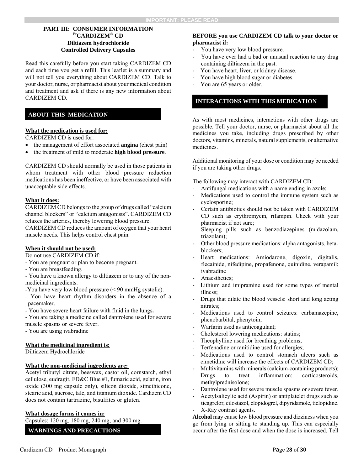#### **PART III: CONSUMER INFORMATION** Pr**CARDIZEM® CD Diltiazem hydrochloride Controlled Delivery Capsules**

Read this carefully before you start taking CARDIZEM CD and each time you get a refill. This leaflet is a summary and will not tell you everything about CARDIZEM CD. Talk to your doctor, nurse, or pharmacist about your medical condition and treatment and ask if there is any new information about CARDIZEM CD.

#### **ABOUT THIS MEDICATION**

#### **What the medication is used for:**

CARDIZEM CD is used for:

- the management of effort associated **angina** (chest pain)
- the treatment of mild to moderate **high blood pressure**.

CARDIZEM CD should normally be used in those patients in whom treatment with other blood pressure reduction medications has been ineffective, or have been associated with unacceptable side effects.

#### **What it does:**

CARDIZEM CD belongs to the group of drugs called "calcium channel blockers" or "calcium antagonists". CARDIZEM CD relaxes the arteries, thereby lowering blood pressure.

CARDIZEM CD reduces the amount of oxygen that your heart muscle needs. This helps control chest pain.

#### **When it should not be used:**

Do not use CARDIZEM CD if:

- You are pregnant or plan to become pregnant.
- You are breastfeeding.

- You have a known allergy to diltiazem or to any of the nonmedicinal ingredients.

-You have very low blood pressure (< 90 mmHg systolic).

- You have heart rhythm disorders in the absence of a pacemaker.
- You have severe heart failure with fluid in the lungs**.**

- You are taking a medicine called dantrolene used for severe muscle spasms or severe fever.

- You are using ivabradine

#### **What the medicinal ingredient is:**

Diltiazem Hydrochloride

#### **What the non-medicinal ingredients are:**

Acetyl tributyl citrate, beeswax, castor oil, cornstarch, ethyl cellulose, eudragit, FD&C Blue #1, fumaric acid, gelatin, iron oxide (300 mg capsule only), silicon dioxide, simethicone, stearic acid, sucrose, talc, and titanium dioxide. Cardizem CD does not contain tartrazine, bisulfites or gluten.

#### **What dosage forms it comes in:**

Capsules: 120 mg, 180 mg, 240 mg, and 300 mg.

**WARNINGS AND PRECAUTIONS** 

#### **BEFORE you use CARDIZEM CD talk to your doctor or pharmacist if:**

- You have very low blood pressure.
- You have ever had a bad or unusual reaction to any drug containing diltiazem in the past.
- You have heart, liver, or kidney disease.
- You have high blood sugar or diabetes.
- You are 65 years or older.

#### **INTERACTIONS WITH THIS MEDICATION**

As with most medicines, interactions with other drugs are possible. Tell your doctor, nurse, or pharmacist about all the medicines you take, including drugs prescribed by other doctors, vitamins, minerals, natural supplements, or alternative medicines.

Additional monitoring of your dose or condition may be needed if you are taking other drugs.

The following may interact with CARDIZEM CD:

- Antifungal medications with a name ending in azole;
- Medications used to control the immune system such as cyclosporine;
- Certain antibiotics should not be taken with CARDIZEM CD such as erythromycin, rifampin. Check with your pharmacist if not sure;
- Sleeping pills such as benzodiazepines (midazolam, triazolam);
- Other blood pressure medications: alpha antagonists, betablockers;
- Heart medications: Amiodarone, digoxin, digitalis, flecainide, nifedipine, propafenone, quinidine, verapamil; ivabradine
- Anaesthetics;
- Lithium and imipramine used for some types of mental illness;
- Drugs that dilate the blood vessels: short and long acting nitrates;
- Medications used to control seizures: carbamazepine, phenobarbital, phenytoin;
- **-** Warfarin used as anticoagulant;
- **-** Cholesterol lowering medications: statins;
- Theophylline used for breathing problems;
- Terfenadine or ranitidine used for allergies;
- Medications used to control stomach ulcers such as cimetidine will increase the effects of CARDIZEM CD;
- Multivitamins with minerals (calcium-containing products);
- Drugs to treat inflammation: corticosteroids, methylprednisolone;
- Dantrolene used for severe muscle spasms or severe fever.
- Acetylsalicylic acid (Aspirin) or antiplatelet drugs such as ticagrelor, cilostazol, clopidogrel, dipyridamole, ticlopidine. X-Ray contrast agents.

**Alcohol** may cause low blood pressure and dizziness when you go from lying or sitting to standing up. This can especially occur after the first dose and when the dose is increased. Tell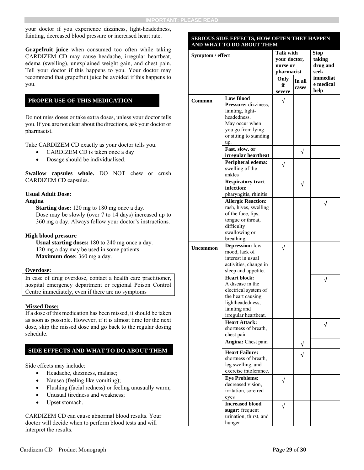your doctor if you experience dizziness, light-headedness, fainting, decreased blood pressure or increased heart rate.

**Grapefruit juice** when consumed too often while taking CARDIZEM CD may cause headache, irregular heartbeat, edema (swelling), unexplained weight gain, and chest pain. Tell your doctor if this happens to you. Your doctor may recommend that grapefruit juice be avoided if this happens to you.

#### **PROPER USE OF THIS MEDICATION**

Do not miss doses or take extra doses, unless your doctor tells you. If you are not clear about the directions, ask your doctor or pharmacist.

Take CARDIZEM CD exactly as your doctor tells you.

- CARDIZEM CD is taken once a day
- Dosage should be individualised.

**Swallow capsules whole.** DO NOT chew or crush CARDIZEM CD capsules.

#### **Usual Adult Dose:**

#### **Angina**

**Starting dose:** 120 mg to 180 mg once a day. Dose may be slowly (over 7 to 14 days) increased up to 360 mg a day. Always follow your doctor's instructions.

#### **High blood pressure**

**Usual starting doses:** 180 to 240 mg once a day. 120 mg a day may be used in some patients. **Maximum dose:** 360 mg a day.

#### **Overdose:**

In case of drug overdose, contact a health care practitioner, hospital emergency department or regional Poison Control Centre immediately, even if there are no symptoms

#### **Missed Dose:**

If a dose of this medication has been missed, it should be taken as soon as possible. However, if it is almost time for the next dose, skip the missed dose and go back to the regular dosing schedule.

#### **SIDE EFFECTS AND WHAT TO DO ABOUT THEM**

Side effects may include:

- Headache, dizziness, malaise;
- Nausea (feeling like vomiting);
- Flushing (facial redness) or feeling unusually warm;
- Unusual tiredness and weakness;
- Upset stomach.

CARDIZEM CD can cause abnormal blood results. Your doctor will decide when to perform blood tests and will interpret the results.

| SERIOUS SIDE EFFECTS, HOW OFTEN THEY HAPPEN<br>AND WHAT TO DO ABOUT THEM |                                              |                  |                 |           |
|--------------------------------------------------------------------------|----------------------------------------------|------------------|-----------------|-----------|
|                                                                          |                                              | <b>Talk with</b> |                 | Stop      |
| Symptom / effect                                                         | your doctor,                                 |                  | taking          |           |
|                                                                          |                                              | nurse or         |                 | drug and  |
|                                                                          |                                              | pharmacist       |                 | seek      |
|                                                                          |                                              | Only             |                 | immediat  |
|                                                                          |                                              | if               | In all<br>cases | e medical |
|                                                                          |                                              | severe           |                 | help      |
| Common                                                                   | <b>Low Blood</b>                             | $\sqrt{}$        |                 |           |
|                                                                          | Pressure: dizziness,                         |                  |                 |           |
|                                                                          | fainting, light-                             |                  |                 |           |
|                                                                          | headedness.                                  |                  |                 |           |
|                                                                          | May occur when                               |                  |                 |           |
|                                                                          | you go from lying                            |                  |                 |           |
|                                                                          | or sitting to standing                       |                  |                 |           |
|                                                                          | up.<br>Fast, slow, or                        |                  |                 |           |
|                                                                          | irregular heartbeat                          |                  | √               |           |
|                                                                          | Peripheral edema:                            |                  |                 |           |
|                                                                          | swelling of the                              | √                |                 |           |
|                                                                          | ankles                                       |                  |                 |           |
|                                                                          | <b>Respiratory tract</b>                     |                  |                 |           |
|                                                                          | infection:                                   |                  | √               |           |
|                                                                          | pharyngitis, rhinitis                        |                  |                 |           |
|                                                                          | <b>Allergic Reaction:</b>                    |                  |                 | J         |
|                                                                          | rash, hives, swelling                        |                  |                 |           |
|                                                                          | of the face, lips,                           |                  |                 |           |
|                                                                          | tongue or throat,                            |                  |                 |           |
|                                                                          | difficulty                                   |                  |                 |           |
|                                                                          | swallowing or                                |                  |                 |           |
|                                                                          | breathing                                    |                  |                 |           |
| <b>Uncommon</b>                                                          | <b>Depression:</b> low                       | J                |                 |           |
|                                                                          | mood, lack of                                |                  |                 |           |
|                                                                          | interest in usual                            |                  |                 |           |
|                                                                          | activities, change in<br>sleep and appetite. |                  |                 |           |
|                                                                          | <b>Heart block:</b>                          |                  |                 |           |
|                                                                          | A disease in the                             |                  |                 |           |
|                                                                          | electrical system of                         |                  |                 |           |
|                                                                          | the heart causing                            |                  |                 |           |
|                                                                          | lightheadedness,                             |                  |                 |           |
|                                                                          | fainting and                                 |                  |                 |           |
|                                                                          | irregular heartbeat.                         |                  |                 |           |
|                                                                          | <b>Heart Attack:</b>                         |                  |                 | √         |
|                                                                          | shortness of breath.                         |                  |                 |           |
|                                                                          | chest pain                                   |                  |                 |           |
|                                                                          | Angina: Chest pain                           |                  | √               |           |
|                                                                          | <b>Heart Failure:</b>                        |                  |                 |           |
|                                                                          | shortness of breath,                         |                  | √               |           |
|                                                                          | leg swelling, and                            |                  |                 |           |
|                                                                          | exercise intolerance.                        |                  |                 |           |
|                                                                          | <b>Eve Problems:</b>                         | √                |                 |           |
|                                                                          | decreased vision,                            |                  |                 |           |
|                                                                          | irritation, sore red                         |                  |                 |           |
|                                                                          | eyes                                         |                  |                 |           |
|                                                                          | <b>Increased blood</b>                       | $\sqrt{}$        |                 |           |
|                                                                          | sugar: frequent                              |                  |                 |           |
|                                                                          | urination, thirst, and                       |                  |                 |           |
|                                                                          | hunger                                       |                  |                 |           |